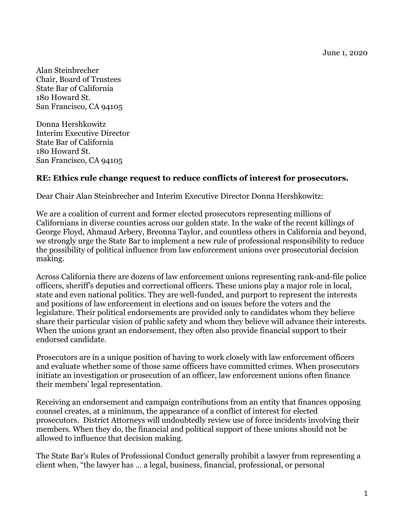June 1, 2020

Alan Steinbrecher Chair, Board of Trustees State Bar of California 180 Howard St. San Francisco, CA 94105

Donna Hershkowitz Interim Executive Director State Bar of California 180 Howard St. San Francisco, CA 94105

## **RE: Ethics rule change request to reduce conflicts of interest for prosecutors.**

Dear Chair Alan Steinbrecher and Interim Executive Director Donna Hershkowitz:

We are a coalition of current and former elected prosecutors representing millions of Californians in diverse counties across our golden state. In the wake of the recent killings of George Floyd, Ahmaud Arbery, Breonna Taylor, and countless others in California and beyond, we strongly urge the State Bar to implement a new rule of professional responsibility to reduce the possibility of political influence from law enforcement unions over prosecutorial decision making.

Across California there are dozens of law enforcement unions representing rank-and-file police officers, sheriff's deputies and correctional officers. These unions play a major role in local, state and even national politics. They are well-funded, and purport to represent the interests and positions of law enforcement in elections and on issues before the voters and the legislature. Their political endorsements are provided only to candidates whom they believe share their particular vision of public safety and whom they believe will advance their interests. When the unions grant an endorsement, they often also provide financial support to their endorsed candidate.

Prosecutors are in a unique position of having to work closely with law enforcement officers and evaluate whether some of those same officers have committed crimes. When prosecutors initiate an investigation or prosecution of an officer, law enforcement unions often finance their members' legal representation.

Receiving an endorsement and campaign contributions from an entity that finances opposing counsel creates, at a minimum, the appearance of a conflict of interest for elected prosecutors. District Attorneys will undoubtedly review use of force incidents involving their members. When they do, the financial and political support of these unions should not be allowed to influence that decision making.

The State Bar's Rules of Professional Conduct generally prohibit a lawyer from representing a client when, "the lawyer has … a legal, business, financial, professional, or personal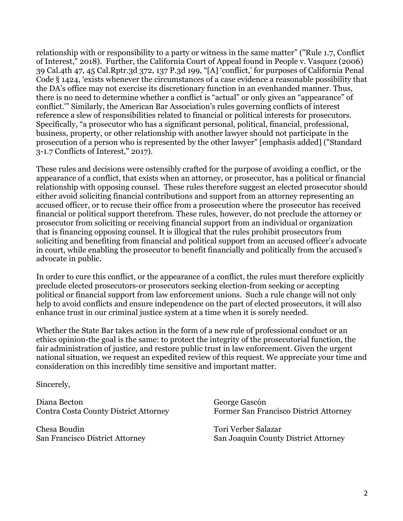relationship with or responsibility to a party or witness in the same matter" ("Rule 1.7, Conflict of Interest," 2018). Further, the California Court of Appeal found in People v. Vasquez (2006) 39 Cal.4th 47, 45 Cal.Rptr.3d 372, 137 P.3d 199, "[A] 'conflict,' for purposes of California Penal Code § 1424, 'exists whenever the circumstances of a case evidence a reasonable possibility that the DA's office may not exercise its discretionary function in an evenhanded manner. Thus, there is no need to determine whether a conflict is "actual" or only gives an "appearance" of conflict.'" Similarly, the American Bar Association's rules governing conflicts of interest reference a slew of responsibilities related to financial or political interests for prosecutors. Specifically, "a prosecutor who has a significant personal, political, financial, professional, business, property, or other relationship with another lawyer should not participate in the prosecution of a person who is represented by the other lawyer" [emphasis added] ("Standard 3-1.7 Conflicts of Interest," 2017).

These rules and decisions were ostensibly crafted for the purpose of avoiding a conflict, or the appearance of a conflict, that exists when an attorney, or prosecutor, has a political or financial relationship with opposing counsel. These rules therefore suggest an elected prosecutor should either avoid soliciting financial contributions and support from an attorney representing an accused officer, or to recuse their office from a prosecution where the prosecutor has received financial or political support therefrom. These rules, however, do not preclude the attorney or prosecutor from soliciting or receiving financial support from an individual or organization that is financing opposing counsel. It is illogical that the rules prohibit prosecutors from soliciting and benefiting from financial and political support from an accused officer's advocate in court, while enabling the prosecutor to benefit financially and politically from the accused's advocate in public.

In order to cure this conflict, or the appearance of a conflict, the rules must therefore explicitly preclude elected prosecutors-or prosecutors seeking election-from seeking or accepting political or financial support from law enforcement unions. Such a rule change will not only help to avoid conflicts and ensure independence on the part of elected prosecutors, it will also enhance trust in our criminal justice system at a time when it is sorely needed.

Whether the State Bar takes action in the form of a new rule of professional conduct or an ethics opinion-the goal is the same: to protect the integrity of the prosecutorial function, the fair administration of justice, and restore public trust in law enforcement. Given the urgent national situation, we request an expedited review of this request. We appreciate your time and consideration on this incredibly time sensitive and important matter.

Sincerely,

Diana Becton Contra Costa County District Attorney

Chesa Boudin San Francisco District Attorney George Gascón Former San Francisco District Attorney

Tori Verber Salazar San Joaquin County District Attorney